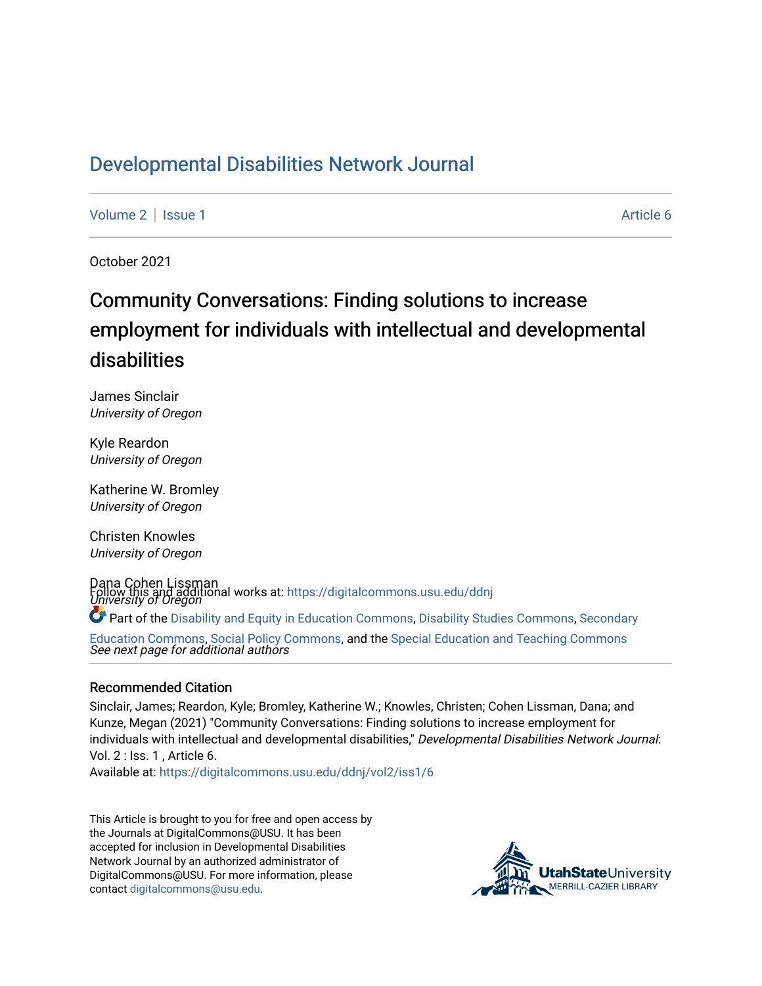## [Developmental Disabilities Network Journal](https://digitalcommons.usu.edu/ddnj)

[Volume 2](https://digitalcommons.usu.edu/ddnj/vol2) | [Issue 1](https://digitalcommons.usu.edu/ddnj/vol2/iss1) Article 6

October 2021

# Community Conversations: Finding solutions to increase employment for individuals with intellectual and developmental disabilities

James Sinclair University of Oregon

Kyle Reardon University of Oregon

Katherine W. Bromley University of Oregon

Christen Knowles University of Oregon

Dana Cohen Lissman Follow this and additional works at: https://digitalcommons.usu.edu/ddnj<br>*University of Oregon* Part of the [Disability and Equity in Education Commons](http://network.bepress.com/hgg/discipline/1040?utm_source=digitalcommons.usu.edu%2Fddnj%2Fvol2%2Fiss1%2F6&utm_medium=PDF&utm_campaign=PDFCoverPages), [Disability Studies Commons](http://network.bepress.com/hgg/discipline/1417?utm_source=digitalcommons.usu.edu%2Fddnj%2Fvol2%2Fiss1%2F6&utm_medium=PDF&utm_campaign=PDFCoverPages), [Secondary](http://network.bepress.com/hgg/discipline/1382?utm_source=digitalcommons.usu.edu%2Fddnj%2Fvol2%2Fiss1%2F6&utm_medium=PDF&utm_campaign=PDFCoverPages) 

See next page for additional authors [Education Commons,](http://network.bepress.com/hgg/discipline/1382?utm_source=digitalcommons.usu.edu%2Fddnj%2Fvol2%2Fiss1%2F6&utm_medium=PDF&utm_campaign=PDFCoverPages) [Social Policy Commons](http://network.bepress.com/hgg/discipline/1030?utm_source=digitalcommons.usu.edu%2Fddnj%2Fvol2%2Fiss1%2F6&utm_medium=PDF&utm_campaign=PDFCoverPages), and the [Special Education and Teaching Commons](http://network.bepress.com/hgg/discipline/801?utm_source=digitalcommons.usu.edu%2Fddnj%2Fvol2%2Fiss1%2F6&utm_medium=PDF&utm_campaign=PDFCoverPages)

#### Recommended Citation

Sinclair, James; Reardon, Kyle; Bromley, Katherine W.; Knowles, Christen; Cohen Lissman, Dana; and Kunze, Megan (2021) "Community Conversations: Finding solutions to increase employment for individuals with intellectual and developmental disabilities," Developmental Disabilities Network Journal: Vol. 2 : Iss. 1 , Article 6.

Available at: [https://digitalcommons.usu.edu/ddnj/vol2/iss1/6](https://digitalcommons.usu.edu/ddnj/vol2/iss1/6?utm_source=digitalcommons.usu.edu%2Fddnj%2Fvol2%2Fiss1%2F6&utm_medium=PDF&utm_campaign=PDFCoverPages) 

This Article is brought to you for free and open access by the Journals at DigitalCommons@USU. It has been accepted for inclusion in Developmental Disabilities Network Journal by an authorized administrator of DigitalCommons@USU. For more information, please contact [digitalcommons@usu.edu](mailto:digitalcommons@usu.edu).

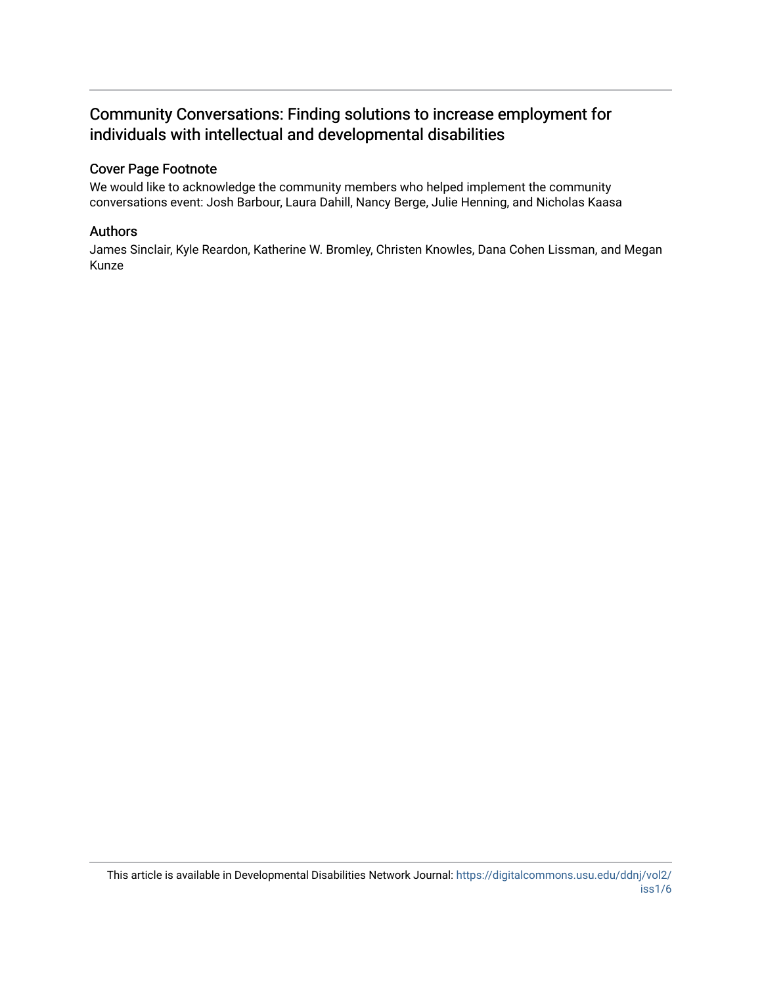## Community Conversations: Finding solutions to increase employment for individuals with intellectual and developmental disabilities

#### Cover Page Footnote

We would like to acknowledge the community members who helped implement the community conversations event: Josh Barbour, Laura Dahill, Nancy Berge, Julie Henning, and Nicholas Kaasa

#### Authors

James Sinclair, Kyle Reardon, Katherine W. Bromley, Christen Knowles, Dana Cohen Lissman, and Megan Kunze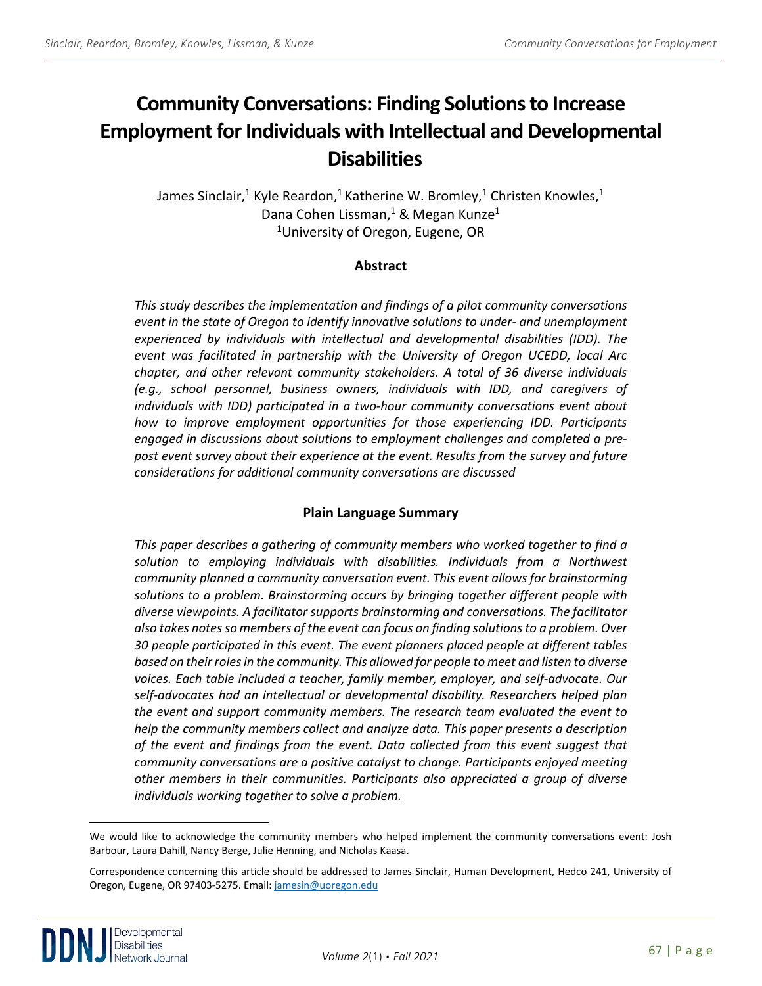# **Community Conversations: Finding Solutions to Increase Employment for Individuals with Intellectual and Developmental Disabilities [a](#page-2-0)**

James Sinclair,<sup>1</sup> Kyle Reardon,<sup>1</sup> Katherine W. Bromley,<sup>1</sup> Christen Knowles,<sup>1</sup> Dana Cohen Lissman,<sup>1</sup> & Megan Kunze<sup>1</sup> 1University of Oregon, Eugene, OR

#### **Abstract**

*This study describes the implementation and findings of a pilot community conversations event in the state of Oregon to identify innovative solutions to under- and unemployment experienced by individuals with intellectual and developmental disabilities (IDD). The event was facilitated in partnership with the University of Oregon UCEDD, local Arc chapter, and other relevant community stakeholders. A total of 36 diverse individuals (e.g., school personnel, business owners, individuals with IDD, and caregivers of individuals with IDD) participated in a two-hour community conversations event about how to improve employment opportunities for those experiencing IDD. Participants engaged in discussions about solutions to employment challenges and completed a prepost event survey about their experience at the event. Results from the survey and future considerations for additional community conversations are discussed*

## **Plain Language Summary**

*This paper describes a gathering of community members who worked together to find a*  solution to employing individuals with disabilities. Individuals from a Northwest *community planned a community conversation event. This event allows for brainstorming solutions to a problem. Brainstorming occurs by bringing together different people with diverse viewpoints. A facilitator supports brainstorming and conversations. The facilitator also takes notes so members of the event can focus on finding solutions to a problem. Over 30 people participated in this event. The event planners placed people at different tables based on their roles in the community. This allowed for people to meet and listen to diverse voices. Each table included a teacher, family member, employer, and self-advocate. Our self-advocates had an intellectual or developmental disability. Researchers helped plan the event and support community members. The research team evaluated the event to help the community members collect and analyze data. This paper presents a description of the event and findings from the event. Data collected from this event suggest that community conversations are a positive catalyst to change. Participants enjoyed meeting other members in their communities. Participants also appreciated a group of diverse individuals working together to solve a problem.* 

<span id="page-2-0"></span>Correspondence concerning this article should be addressed to James Sinclair, Human Development, Hedco 241, University of Oregon, Eugene, OR 97403-5275. Email[: jamesin@uoregon.edu](mailto:jamesin@uoregon.edu)



We would like to acknowledge the community members who helped implement the community conversations event: Josh Barbour, Laura Dahill, Nancy Berge, Julie Henning, and Nicholas Kaasa.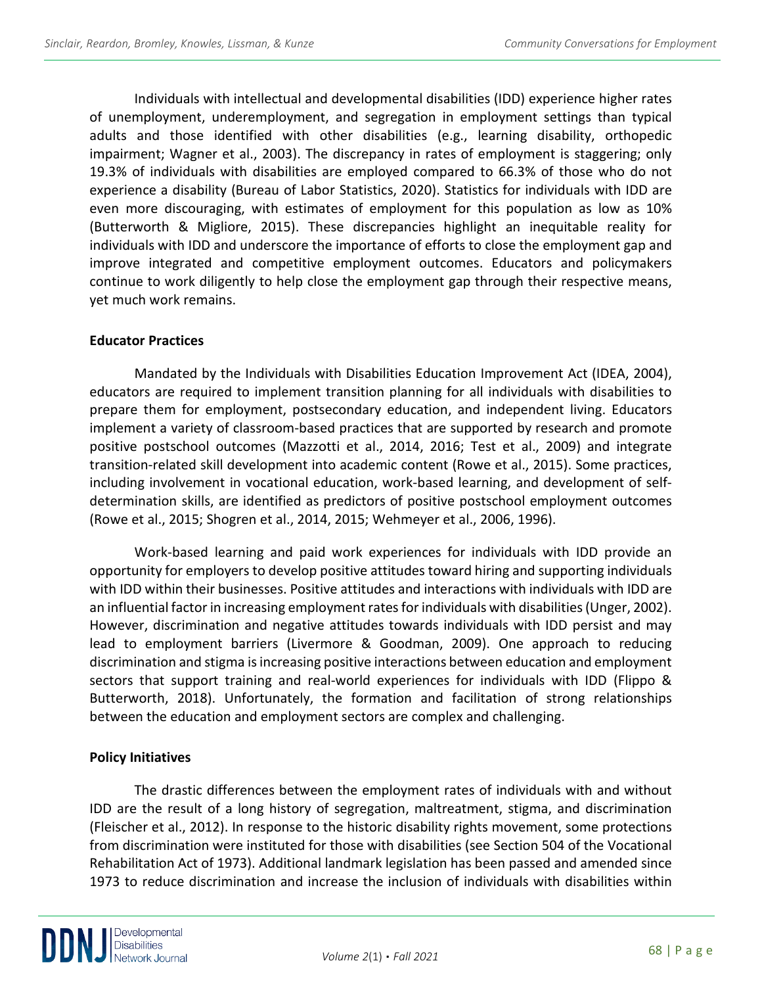Individuals with intellectual and developmental disabilities (IDD) experience higher rates of unemployment, underemployment, and segregation in employment settings than typical adults and those identified with other disabilities (e.g., learning disability, orthopedic impairment; Wagner et al., 2003). The discrepancy in rates of employment is staggering; only 19.3% of individuals with disabilities are employed compared to 66.3% of those who do not experience a disability (Bureau of Labor Statistics, 2020). Statistics for individuals with IDD are even more discouraging, with estimates of employment for this population as low as 10% (Butterworth & Migliore, 2015). These discrepancies highlight an inequitable reality for individuals with IDD and underscore the importance of efforts to close the employment gap and improve integrated and competitive employment outcomes. Educators and policymakers continue to work diligently to help close the employment gap through their respective means, yet much work remains.

#### **Educator Practices**

Mandated by the Individuals with Disabilities Education Improvement Act (IDEA, 2004), educators are required to implement transition planning for all individuals with disabilities to prepare them for employment, postsecondary education, and independent living. Educators implement a variety of classroom-based practices that are supported by research and promote positive postschool outcomes (Mazzotti et al., 2014, 2016; Test et al., 2009) and integrate transition-related skill development into academic content (Rowe et al., 2015). Some practices, including involvement in vocational education, work-based learning, and development of selfdetermination skills, are identified as predictors of positive postschool employment outcomes (Rowe et al., 2015; Shogren et al., 2014, 2015; Wehmeyer et al., 2006, 1996).

Work-based learning and paid work experiences for individuals with IDD provide an opportunity for employers to develop positive attitudes toward hiring and supporting individuals with IDD within their businesses. Positive attitudes and interactions with individuals with IDD are an influential factor in increasing employment rates for individuals with disabilities (Unger, 2002). However, discrimination and negative attitudes towards individuals with IDD persist and may lead to employment barriers (Livermore & Goodman, 2009). One approach to reducing discrimination and stigma is increasing positive interactions between education and employment sectors that support training and real-world experiences for individuals with IDD (Flippo & Butterworth, 2018). Unfortunately, the formation and facilitation of strong relationships between the education and employment sectors are complex and challenging.

## **Policy Initiatives**

The drastic differences between the employment rates of individuals with and without IDD are the result of a long history of segregation, maltreatment, stigma, and discrimination (Fleischer et al., 2012). In response to the historic disability rights movement, some protections from discrimination were instituted for those with disabilities (see Section 504 of the Vocational Rehabilitation Act of 1973). Additional landmark legislation has been passed and amended since 1973 to reduce discrimination and increase the inclusion of individuals with disabilities within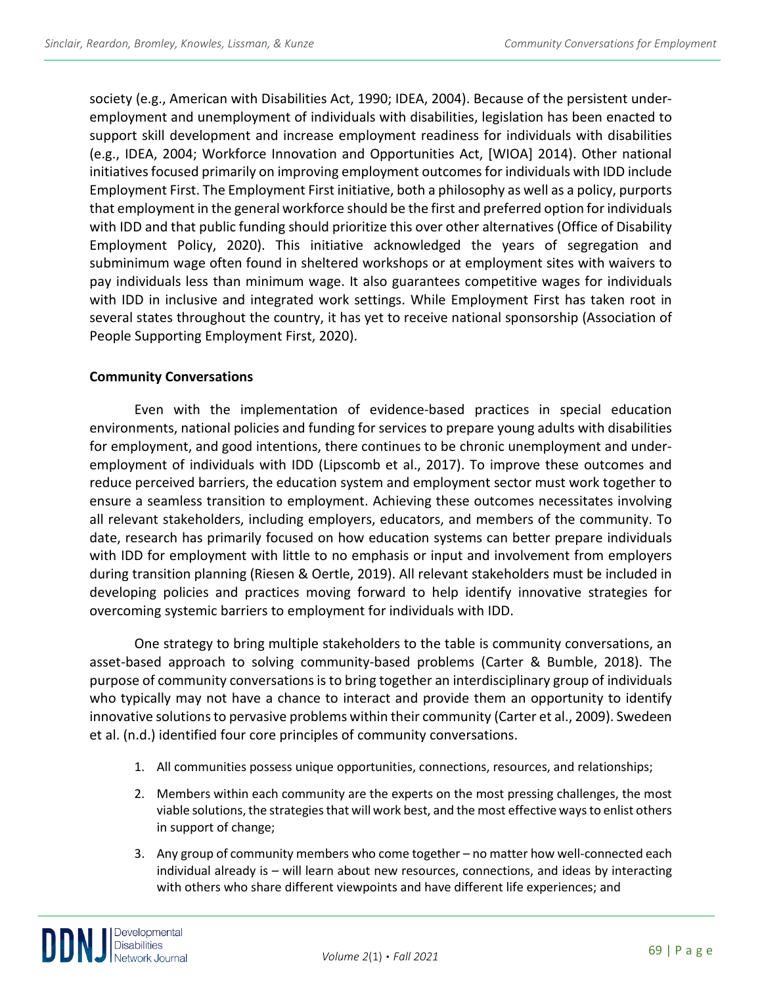society (e.g., American with Disabilities Act, 1990; IDEA, 2004). Because of the persistent underemployment and unemployment of individuals with disabilities, legislation has been enacted to support skill development and increase employment readiness for individuals with disabilities (e.g., IDEA, 2004; Workforce Innovation and Opportunities Act, [WIOA] 2014). Other national initiatives focused primarily on improving employment outcomes for individuals with IDD include Employment First. The Employment First initiative, both a philosophy as well as a policy, purports that employment in the general workforce should be the first and preferred option for individuals with IDD and that public funding should prioritize this over other alternatives (Office of Disability Employment Policy, 2020). This initiative acknowledged the years of segregation and subminimum wage often found in sheltered workshops or at employment sites with waivers to pay individuals less than minimum wage. It also guarantees competitive wages for individuals with IDD in inclusive and integrated work settings. While Employment First has taken root in several states throughout the country, it has yet to receive national sponsorship (Association of People Supporting Employment First, 2020).

## **Community Conversations**

Even with the implementation of evidence-based practices in special education environments, national policies and funding for services to prepare young adults with disabilities for employment, and good intentions, there continues to be chronic unemployment and underemployment of individuals with IDD (Lipscomb et al., 2017). To improve these outcomes and reduce perceived barriers, the education system and employment sector must work together to ensure a seamless transition to employment. Achieving these outcomes necessitates involving all relevant stakeholders, including employers, educators, and members of the community. To date, research has primarily focused on how education systems can better prepare individuals with IDD for employment with little to no emphasis or input and involvement from employers during transition planning (Riesen & Oertle, 2019). All relevant stakeholders must be included in developing policies and practices moving forward to help identify innovative strategies for overcoming systemic barriers to employment for individuals with IDD.

One strategy to bring multiple stakeholders to the table is community conversations, an asset-based approach to solving community-based problems (Carter & Bumble, 2018). The purpose of community conversations is to bring together an interdisciplinary group of individuals who typically may not have a chance to interact and provide them an opportunity to identify innovative solutions to pervasive problems within their community (Carter et al., 2009). Swedeen et al. (n.d.) identified four core principles of community conversations.

- 1. All communities possess unique opportunities, connections, resources, and relationships;
- 2. Members within each community are the experts on the most pressing challenges, the most viable solutions, the strategies that will work best, and the most effective ways to enlist others in support of change;
- 3. Any group of community members who come together no matter how well-connected each individual already is – will learn about new resources, connections, and ideas by interacting with others who share different viewpoints and have different life experiences; and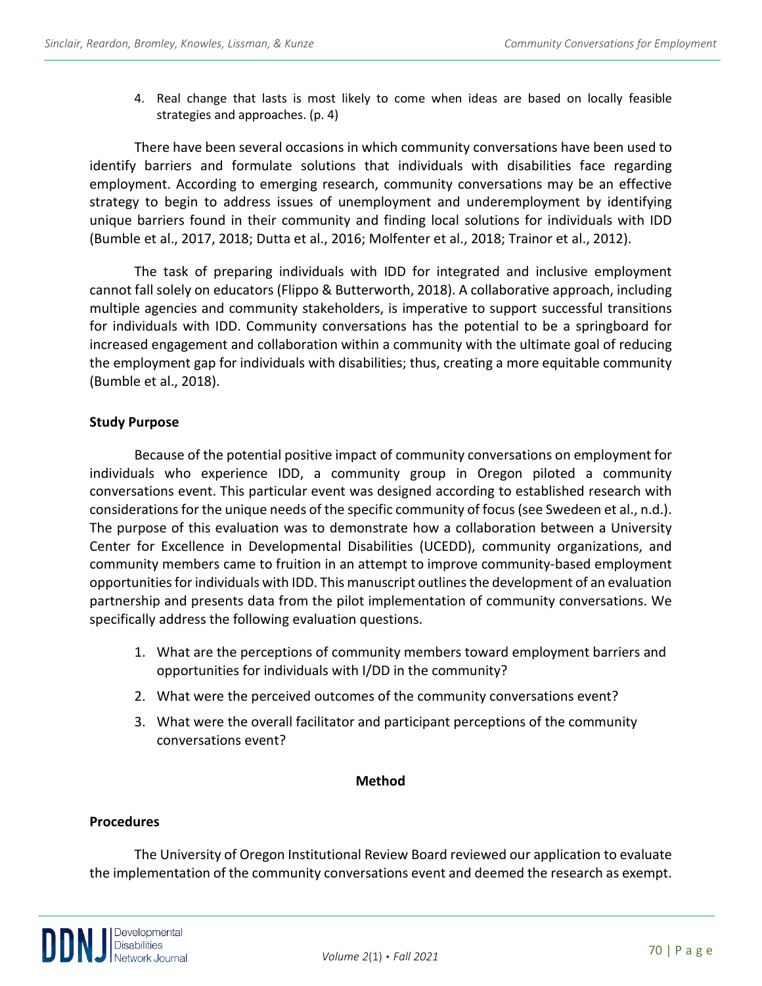4. Real change that lasts is most likely to come when ideas are based on locally feasible strategies and approaches. (p. 4)

There have been several occasions in which community conversations have been used to identify barriers and formulate solutions that individuals with disabilities face regarding employment. According to emerging research, community conversations may be an effective strategy to begin to address issues of unemployment and underemployment by identifying unique barriers found in their community and finding local solutions for individuals with IDD (Bumble et al., 2017, 2018; Dutta et al., 2016; Molfenter et al., 2018; Trainor et al., 2012).

The task of preparing individuals with IDD for integrated and inclusive employment cannot fall solely on educators (Flippo & Butterworth, 2018). A collaborative approach, including multiple agencies and community stakeholders, is imperative to support successful transitions for individuals with IDD. Community conversations has the potential to be a springboard for increased engagement and collaboration within a community with the ultimate goal of reducing the employment gap for individuals with disabilities; thus, creating a more equitable community (Bumble et al., 2018).

## **Study Purpose**

Because of the potential positive impact of community conversations on employment for individuals who experience IDD, a community group in Oregon piloted a community conversations event. This particular event was designed according to established research with considerations for the unique needs of the specific community of focus (see Swedeen et al., n.d.). The purpose of this evaluation was to demonstrate how a collaboration between a University Center for Excellence in Developmental Disabilities (UCEDD), community organizations, and community members came to fruition in an attempt to improve community-based employment opportunities for individuals with IDD. This manuscript outlines the development of an evaluation partnership and presents data from the pilot implementation of community conversations. We specifically address the following evaluation questions.

- 1. What are the perceptions of community members toward employment barriers and opportunities for individuals with I/DD in the community?
- 2. What were the perceived outcomes of the community conversations event?
- 3. What were the overall facilitator and participant perceptions of the community conversations event?

## **Method**

## **Procedures**

The University of Oregon Institutional Review Board reviewed our application to evaluate the implementation of the community conversations event and deemed the research as exempt.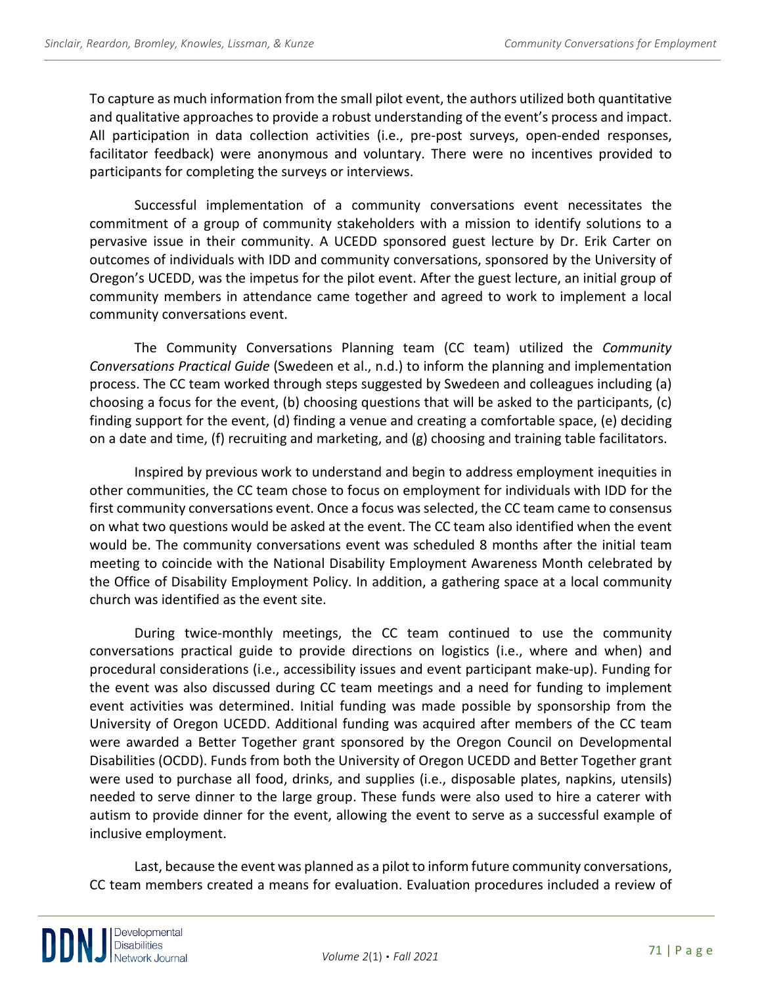To capture as much information from the small pilot event, the authors utilized both quantitative and qualitative approaches to provide a robust understanding of the event's process and impact. All participation in data collection activities (i.e., pre-post surveys, open-ended responses, facilitator feedback) were anonymous and voluntary. There were no incentives provided to participants for completing the surveys or interviews.

Successful implementation of a community conversations event necessitates the commitment of a group of community stakeholders with a mission to identify solutions to a pervasive issue in their community. A UCEDD sponsored guest lecture by Dr. Erik Carter on outcomes of individuals with IDD and community conversations, sponsored by the University of Oregon's UCEDD, was the impetus for the pilot event. After the guest lecture, an initial group of community members in attendance came together and agreed to work to implement a local community conversations event.

The Community Conversations Planning team (CC team) utilized the *Community Conversations Practical Guide* (Swedeen et al., n.d.) to inform the planning and implementation process. The CC team worked through steps suggested by Swedeen and colleagues including (a) choosing a focus for the event, (b) choosing questions that will be asked to the participants, (c) finding support for the event, (d) finding a venue and creating a comfortable space, (e) deciding on a date and time, (f) recruiting and marketing, and (g) choosing and training table facilitators.

Inspired by previous work to understand and begin to address employment inequities in other communities, the CC team chose to focus on employment for individuals with IDD for the first community conversations event. Once a focus was selected, the CC team came to consensus on what two questions would be asked at the event. The CC team also identified when the event would be. The community conversations event was scheduled 8 months after the initial team meeting to coincide with the National Disability Employment Awareness Month celebrated by the Office of Disability Employment Policy. In addition, a gathering space at a local community church was identified as the event site.

During twice-monthly meetings, the CC team continued to use the community conversations practical guide to provide directions on logistics (i.e., where and when) and procedural considerations (i.e., accessibility issues and event participant make-up). Funding for the event was also discussed during CC team meetings and a need for funding to implement event activities was determined. Initial funding was made possible by sponsorship from the University of Oregon UCEDD. Additional funding was acquired after members of the CC team were awarded a Better Together grant sponsored by the Oregon Council on Developmental Disabilities (OCDD). Funds from both the University of Oregon UCEDD and Better Together grant were used to purchase all food, drinks, and supplies (i.e., disposable plates, napkins, utensils) needed to serve dinner to the large group. These funds were also used to hire a caterer with autism to provide dinner for the event, allowing the event to serve as a successful example of inclusive employment.

Last, because the event was planned as a pilot to inform future community conversations, CC team members created a means for evaluation. Evaluation procedures included a review of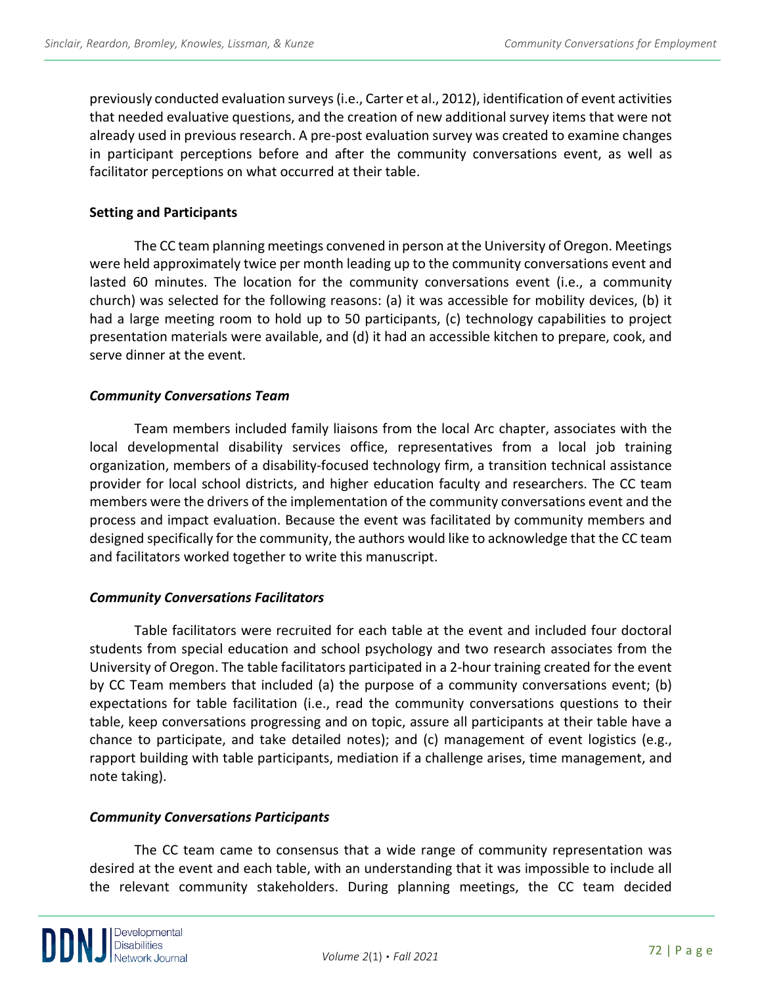previously conducted evaluation surveys (i.e., Carter et al., 2012), identification of event activities that needed evaluative questions, and the creation of new additional survey items that were not already used in previous research. A pre-post evaluation survey was created to examine changes in participant perceptions before and after the community conversations event, as well as facilitator perceptions on what occurred at their table.

#### **Setting and Participants**

The CC team planning meetings convened in person at the University of Oregon. Meetings were held approximately twice per month leading up to the community conversations event and lasted 60 minutes. The location for the community conversations event (i.e., a community church) was selected for the following reasons: (a) it was accessible for mobility devices, (b) it had a large meeting room to hold up to 50 participants, (c) technology capabilities to project presentation materials were available, and (d) it had an accessible kitchen to prepare, cook, and serve dinner at the event.

#### *Community Conversations Team*

Team members included family liaisons from the local Arc chapter, associates with the local developmental disability services office, representatives from a local job training organization, members of a disability-focused technology firm, a transition technical assistance provider for local school districts, and higher education faculty and researchers. The CC team members were the drivers of the implementation of the community conversations event and the process and impact evaluation. Because the event was facilitated by community members and designed specifically for the community, the authors would like to acknowledge that the CC team and facilitators worked together to write this manuscript.

#### *Community Conversations Facilitators*

Table facilitators were recruited for each table at the event and included four doctoral students from special education and school psychology and two research associates from the University of Oregon. The table facilitators participated in a 2-hour training created for the event by CC Team members that included (a) the purpose of a community conversations event; (b) expectations for table facilitation (i.e., read the community conversations questions to their table, keep conversations progressing and on topic, assure all participants at their table have a chance to participate, and take detailed notes); and (c) management of event logistics (e.g., rapport building with table participants, mediation if a challenge arises, time management, and note taking).

## *Community Conversations Participants*

The CC team came to consensus that a wide range of community representation was desired at the event and each table, with an understanding that it was impossible to include all the relevant community stakeholders. During planning meetings, the CC team decided

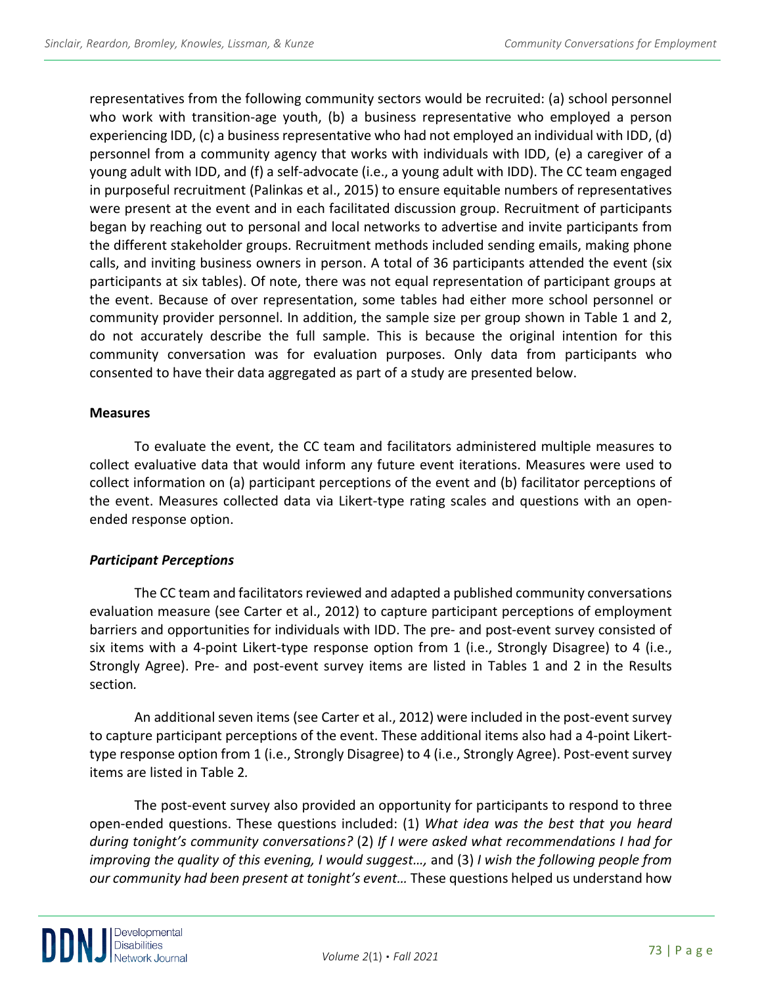representatives from the following community sectors would be recruited: (a) school personnel who work with transition-age youth, (b) a business representative who employed a person experiencing IDD, (c) a business representative who had not employed an individual with IDD, (d) personnel from a community agency that works with individuals with IDD, (e) a caregiver of a young adult with IDD, and (f) a self-advocate (i.e., a young adult with IDD). The CC team engaged in purposeful recruitment (Palinkas et al., 2015) to ensure equitable numbers of representatives were present at the event and in each facilitated discussion group. Recruitment of participants began by reaching out to personal and local networks to advertise and invite participants from the different stakeholder groups. Recruitment methods included sending emails, making phone calls, and inviting business owners in person. A total of 36 participants attended the event (six participants at six tables). Of note, there was not equal representation of participant groups at the event. Because of over representation, some tables had either more school personnel or community provider personnel. In addition, the sample size per group shown in Table 1 and 2, do not accurately describe the full sample. This is because the original intention for this community conversation was for evaluation purposes. Only data from participants who consented to have their data aggregated as part of a study are presented below.

#### **Measures**

To evaluate the event, the CC team and facilitators administered multiple measures to collect evaluative data that would inform any future event iterations. Measures were used to collect information on (a) participant perceptions of the event and (b) facilitator perceptions of the event. Measures collected data via Likert-type rating scales and questions with an openended response option.

## *Participant Perceptions*

The CC team and facilitators reviewed and adapted a published community conversations evaluation measure (see Carter et al., 2012) to capture participant perceptions of employment barriers and opportunities for individuals with IDD. The pre- and post-event survey consisted of six items with a 4-point Likert-type response option from 1 (i.e., Strongly Disagree) to 4 (i.e., Strongly Agree). Pre- and post-event survey items are listed in Tables 1 and 2 in the Results section*.*

An additional seven items (see Carter et al., 2012) were included in the post-event survey to capture participant perceptions of the event. These additional items also had a 4-point Likerttype response option from 1 (i.e., Strongly Disagree) to 4 (i.e., Strongly Agree). Post-event survey items are listed in Table 2*.*

The post-event survey also provided an opportunity for participants to respond to three open-ended questions. These questions included: (1) *What idea was the best that you heard during tonight's community conversations?* (2) *If I were asked what recommendations I had for improving the quality of this evening, I would suggest…,* and (3) *I wish the following people from our community had been present at tonight's event…* These questions helped us understand how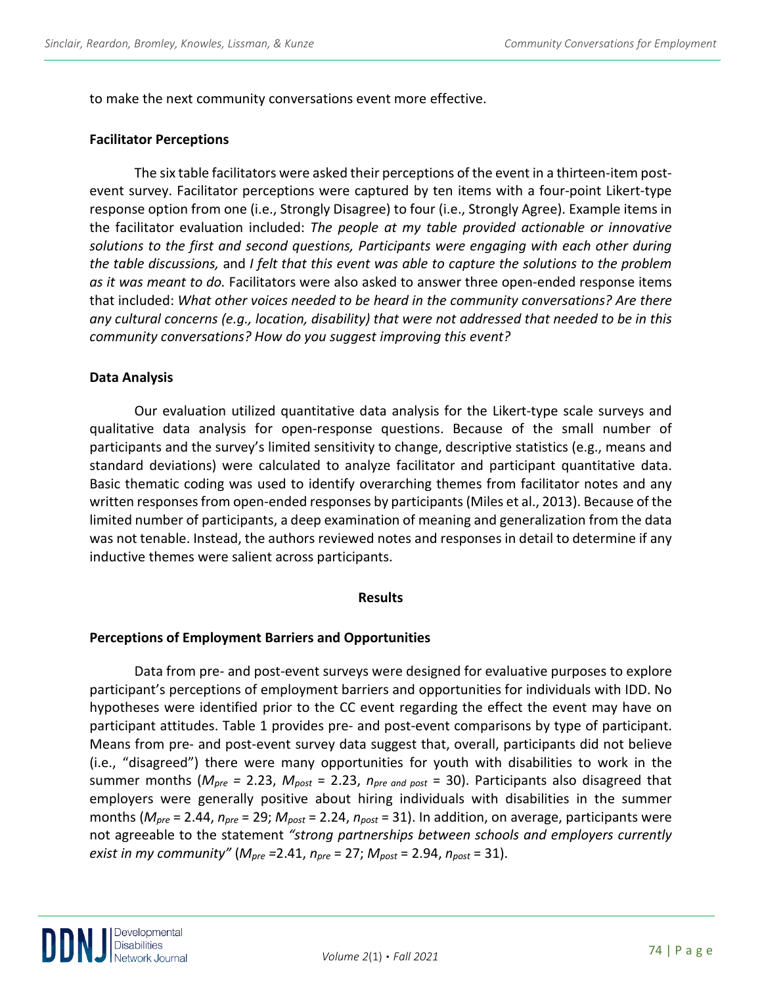to make the next community conversations event more effective.

#### **Facilitator Perceptions**

The six table facilitators were asked their perceptions of the event in a thirteen-item postevent survey. Facilitator perceptions were captured by ten items with a four-point Likert-type response option from one (i.e., Strongly Disagree) to four (i.e., Strongly Agree). Example items in the facilitator evaluation included: *The people at my table provided actionable or innovative solutions to the first and second questions, Participants were engaging with each other during the table discussions,* and *I felt that this event was able to capture the solutions to the problem as it was meant to do.* Facilitators were also asked to answer three open-ended response items that included: *What other voices needed to be heard in the community conversations? Are there any cultural concerns (e.g., location, disability) that were not addressed that needed to be in this community conversations? How do you suggest improving this event?*

#### **Data Analysis**

Our evaluation utilized quantitative data analysis for the Likert-type scale surveys and qualitative data analysis for open-response questions. Because of the small number of participants and the survey's limited sensitivity to change, descriptive statistics (e.g., means and standard deviations) were calculated to analyze facilitator and participant quantitative data. Basic thematic coding was used to identify overarching themes from facilitator notes and any written responses from open-ended responses by participants (Miles et al., 2013). Because of the limited number of participants, a deep examination of meaning and generalization from the data was not tenable. Instead, the authors reviewed notes and responses in detail to determine if any inductive themes were salient across participants.

#### **Results**

#### **Perceptions of Employment Barriers and Opportunities**

Data from pre- and post-event surveys were designed for evaluative purposes to explore participant's perceptions of employment barriers and opportunities for individuals with IDD. No hypotheses were identified prior to the CC event regarding the effect the event may have on participant attitudes. Table 1 provides pre- and post-event comparisons by type of participant. Means from pre- and post-event survey data suggest that, overall, participants did not believe (i.e., "disagreed") there were many opportunities for youth with disabilities to work in the summer months (*Mpre =* 2.23, *Mpost* = 2.23, *npre and post* = 30). Participants also disagreed that employers were generally positive about hiring individuals with disabilities in the summer months (*Mpre* = 2.44, *npre* = 29; *Mpost* = 2.24, *npost* = 31). In addition, on average, participants were not agreeable to the statement *"strong partnerships between schools and employers currently exist in my community"* (*Mpre =*2.41, *npre* = 27; *Mpost* = 2.94, *npost* = 31).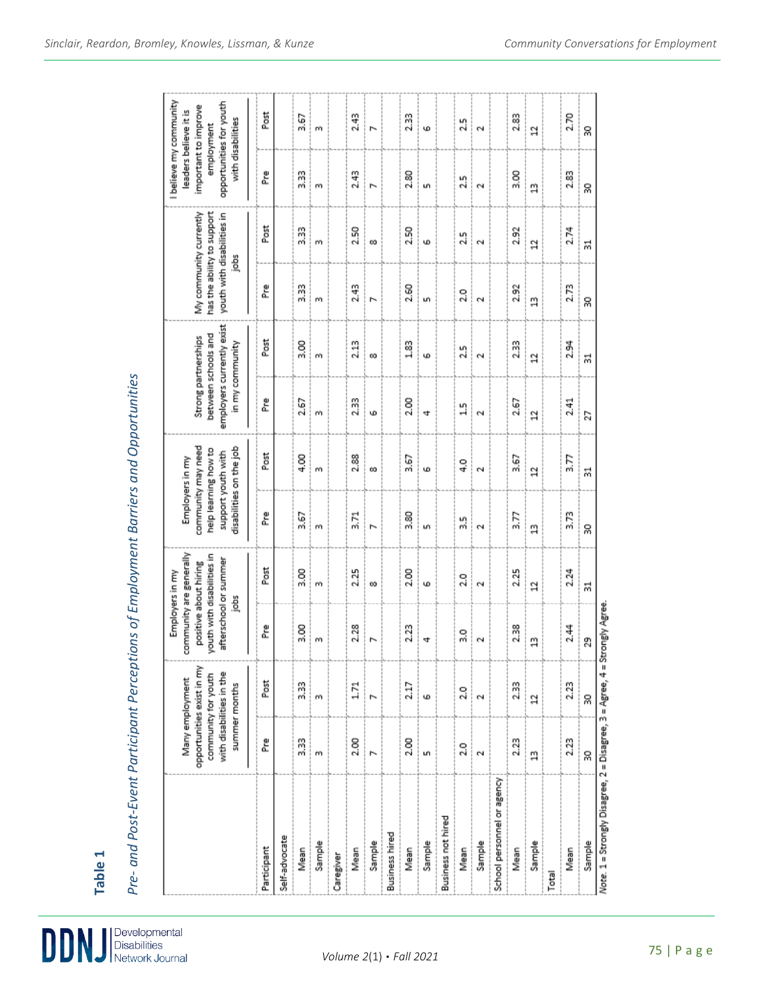DDI

Developmental<br>Disabilities<br>Network Journal

Pre- and Post-Event Participant Perceptions of Employment Barriers and Opportunities *Pre- and Post-Event Participant Perceptions of Employment Barriers and Opportunities*

|                                                                           |                    | Many employment                                                                               | community are generally<br>Employers in my               |                            | Employers in my                                                                             |                      |                                        |                                                  |                      |                                                                                          | I believe my community<br>leaders believe it is |                                 |
|---------------------------------------------------------------------------|--------------------|-----------------------------------------------------------------------------------------------|----------------------------------------------------------|----------------------------|---------------------------------------------------------------------------------------------|----------------------|----------------------------------------|--------------------------------------------------|----------------------|------------------------------------------------------------------------------------------|-------------------------------------------------|---------------------------------|
|                                                                           |                    | opportunities exist in my<br>with disabilities in the<br>community for youth<br>summer months | afterschool or summer<br>positive about hiring<br>ă<br>ı | routh with disabilities in | community may need<br>disabilities on the job<br>help learning how to<br>support youth with |                      | between schools and<br>in my community | employers currently exist<br>Strong partnerships |                      | My community currently<br>has the ability to support<br>youth with disabilities in<br>ă, | opportunities for youth<br>important to improve | with disabilities<br>employment |
| Participant                                                               | 혼                  | Post                                                                                          | 혼                                                        | Post                       | 혼                                                                                           | Post                 | 혼                                      | Post                                             | 혼                    | Post                                                                                     | 혼                                               | Post                            |
| Self-advocate                                                             |                    |                                                                                               |                                                          |                            |                                                                                             |                      |                                        |                                                  |                      |                                                                                          |                                                 |                                 |
| Mean                                                                      | 3.33               | 3.33                                                                                          | 3.00                                                     | 3.00                       | 3.67                                                                                        | 4.00                 | 2.67                                   | 3.00                                             | 3.33                 | 3.33                                                                                     | 3.33                                            | 3.67                            |
| Sample                                                                    | m                  | m                                                                                             | m                                                        | m                          | m                                                                                           | m                    | m                                      | m                                                | m                    | m                                                                                        | m                                               | m                               |
| Caregiver                                                                 |                    |                                                                                               |                                                          |                            |                                                                                             |                      |                                        |                                                  |                      |                                                                                          |                                                 |                                 |
| Mean                                                                      | 2.00               | 1.71                                                                                          | 2.28                                                     | 2.25                       | 3.71                                                                                        | 2.88                 | 2.33                                   | 2.13                                             | 2.43                 | 2.50                                                                                     | 2.43                                            | 2.43                            |
| Sample                                                                    | N                  | ь                                                                                             | N                                                        | œ                          | N                                                                                           | œ                    | G                                      | œ                                                | N                    | œ                                                                                        | N                                               | N                               |
| <b>Business hired</b>                                                     |                    |                                                                                               |                                                          |                            |                                                                                             |                      |                                        |                                                  |                      |                                                                                          |                                                 |                                 |
| Mean                                                                      | 2.00               | 2.17                                                                                          | 2.23                                                     | 2.00                       | 3.80                                                                                        | 3.67                 | 2.00                                   | $^{1.83}$                                        | 2.60                 | 2.50                                                                                     | 2.80                                            | 2.33                            |
| Sample                                                                    | uh,                | Ф                                                                                             | 4                                                        | Ф                          | Lņ,                                                                                         | Ф                    | 4                                      | Ф                                                | щ                    | Ф                                                                                        | Lņ,                                             | Ф                               |
| Business not hired                                                        |                    |                                                                                               |                                                          |                            |                                                                                             |                      |                                        |                                                  |                      |                                                                                          |                                                 |                                 |
| Mean                                                                      | 2.0                | 2.0                                                                                           | 3.0                                                      | 2.0                        | 33                                                                                          | $\frac{0}{4}$        | 15                                     | 25                                               | 2.0                  | 25                                                                                       | 25                                              | 25                              |
| Sample                                                                    | $\mathbf{\hat{z}}$ | $\mathbf{\hat{z}}$                                                                            | Ν                                                        | $\mathbf{\tilde{c}}$       | $\mathbf{\tilde{c}}$                                                                        | $\mathbf{\tilde{c}}$ | $\mathbf{\tilde{c}}$                   | $\mathbf{\tilde{c}}$                             | $\mathbf{\tilde{c}}$ | $\mathbf{\tilde{c}}$                                                                     | $\mathbf{\tilde{c}}$                            | $\sim$                          |
| School personnel or agency                                                |                    |                                                                                               |                                                          |                            |                                                                                             |                      |                                        |                                                  |                      |                                                                                          |                                                 |                                 |
| Mean                                                                      | 2.23               | 2.33                                                                                          | 2.38                                                     | 2.25                       | 3.77                                                                                        | 3.67                 | 2.67                                   | 2.33                                             | 2.92                 | 2.92                                                                                     | 3.00                                            | 2.83                            |
| <b>Sample</b>                                                             | g                  | $\overline{a}$                                                                                | g                                                        | $\overline{a}$             | g                                                                                           | $\overline{a}$       | $\overline{a}$                         | $\overline{a}$                                   | g                    | $\overline{a}$                                                                           | g                                               | $\overline{a}$                  |
| Total                                                                     |                    |                                                                                               |                                                          |                            |                                                                                             |                      |                                        |                                                  |                      |                                                                                          |                                                 |                                 |
| Mean                                                                      | 2.23               | 2.23                                                                                          | 2.44                                                     | 2.24                       | 3.73                                                                                        | 3.77                 | 2.41                                   | 2.94                                             | 2.73                 | 2.74                                                                                     | 2.83                                            | 2.70                            |
| Sample                                                                    | SO,                | SQ                                                                                            | 29                                                       | 深                          | ន្ល                                                                                         | ಸ                    | 27                                     | 麻                                                | 8                    | ಧ                                                                                        | ន្ល                                             | 8                               |
| Note: 1 = Strongly Disagree, 2 = Disagree, 3 = Agree, 4 = Strongly Agree. |                    |                                                                                               |                                                          |                            |                                                                                             |                      |                                        |                                                  |                      |                                                                                          |                                                 |                                 |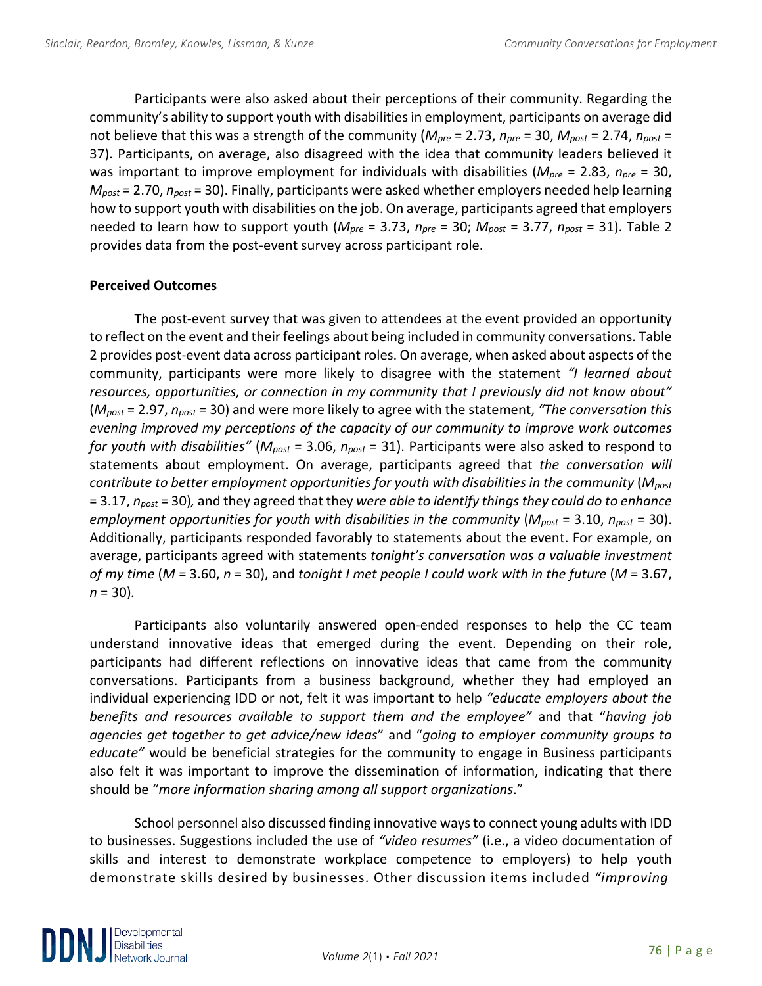Participants were also asked about their perceptions of their community. Regarding the community's ability to support youth with disabilities in employment, participants on average did not believe that this was a strength of the community (*Mpre* = 2.73, *npre* = 30, *Mpost* = 2.74, *npost* = 37). Participants, on average, also disagreed with the idea that community leaders believed it was important to improve employment for individuals with disabilities (*Mpre* = 2.83, *npre* = 30, *Mpost* = 2.70, *npost* = 30). Finally, participants were asked whether employers needed help learning how to support youth with disabilities on the job. On average, participants agreed that employers needed to learn how to support youth (*Mpre* = 3.73, *npre* = 30; *Mpost* = 3.77, *npost* = 31). Table 2 provides data from the post-event survey across participant role.

## **Perceived Outcomes**

The post-event survey that was given to attendees at the event provided an opportunity to reflect on the event and their feelings about being included in community conversations. Table 2 provides post-event data across participant roles. On average, when asked about aspects of the community, participants were more likely to disagree with the statement *"I learned about resources, opportunities, or connection in my community that I previously did not know about"* (*Mpost* = 2.97, *npost* = 30) and were more likely to agree with the statement, *"The conversation this evening improved my perceptions of the capacity of our community to improve work outcomes for youth with disabilities"* (*Mpost* = 3.06, *npost* = 31). Participants were also asked to respond to statements about employment. On average, participants agreed that *the conversation will contribute to better employment opportunities for youth with disabilities in the community* (*Mpost* = 3.17, *npost* = 30)*,* and they agreed that they *were able to identify things they could do to enhance employment opportunities for youth with disabilities in the community* (*Mpost* = 3.10, *npost* = 30). Additionally, participants responded favorably to statements about the event. For example, on average, participants agreed with statements *tonight's conversation was a valuable investment of my time* (*M* = 3.60, *n* = 30), and *tonight I met people I could work with in the future* (*M* = 3.67, *n* = 30)*.*

Participants also voluntarily answered open-ended responses to help the CC team understand innovative ideas that emerged during the event. Depending on their role, participants had different reflections on innovative ideas that came from the community conversations. Participants from a business background, whether they had employed an individual experiencing IDD or not, felt it was important to help *"educate employers about the benefits and resources available to support them and the employee"* and that "*having job agencies get together to get advice/new ideas*" and "*going to employer community groups to educate"* would be beneficial strategies for the community to engage in Business participants also felt it was important to improve the dissemination of information, indicating that there should be "*more information sharing among all support organizations*."

School personnel also discussed finding innovative ways to connect young adults with IDD to businesses. Suggestions included the use of *"video resumes"* (i.e., a video documentation of skills and interest to demonstrate workplace competence to employers) to help youth demonstrate skills desired by businesses. Other discussion items included *"improving*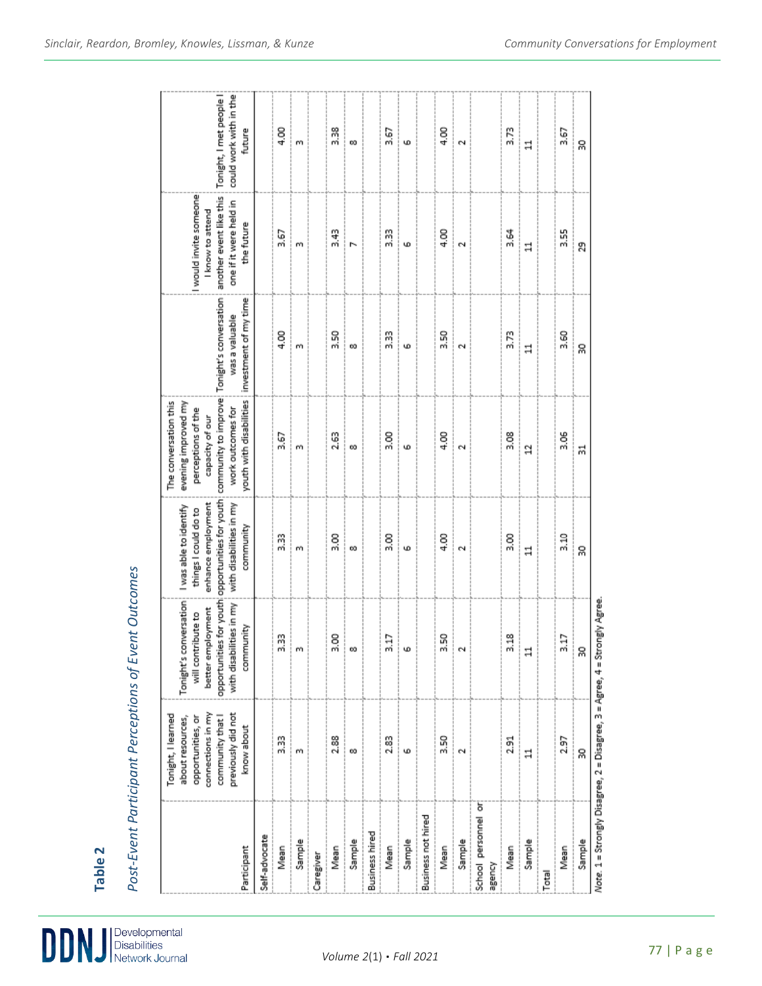| Participant                                                                                                                                                     | Self-advocate | Mean | Sample   | Caregiver | Mean | Sample | <b>Business hired</b> | Mean | Sample | Business not hired | Mean             | Sample | School personnel or<br>AbuaBe | Mean          | Sample         | Total | Mean | Sample |
|-----------------------------------------------------------------------------------------------------------------------------------------------------------------|---------------|------|----------|-----------|------|--------|-----------------------|------|--------|--------------------|------------------|--------|-------------------------------|---------------|----------------|-------|------|--------|
| connections in my<br>previously did not<br>Tonight, I learned<br>community that I<br>about resources,<br>opportunities, or<br>know about                        |               | 33   | m        |           | 2.88 | œ      |                       | 2.83 | Ф      |                    | 3.50             | Ō.     |                               | 251           | $\mathbf{1}$   |       | 2.97 | ន្ល    |
| Tonight's conversation<br>with disabilities in my<br>better employment<br>will contribute to<br>community                                                       |               | 3.33 | i m      |           | 3.00 | ்∞     |                       | 3.17 | مت!    |                    | $\frac{3.50}{2}$ |        |                               | 3.18          | $\Xi$          |       | 3.17 | ×      |
| opportunities for youth opportunities for youth<br>enhance employment<br>with disabilities in my<br>I was able to identify<br>things I could do to<br>community |               | 33   | m        |           | 3.00 | œ      |                       | 3.00 | w      |                    | 4.00             | Ν      |                               | $\frac{8}{3}$ | $\exists$      |       | 3.10 | 20     |
| youth with disabilities<br>evening improved my<br>The conversation this<br>perceptions of the<br>work outcomes for<br>capacity of our                           |               | 3.67 | m        |           | 2.63 | œ      |                       | 3.00 | φ      |                    | 4.00             | N      |                               | 3.08          | $\overline{a}$ |       | 3.06 | ಧ      |
| community to improve: Tonight's conversation<br>investment of my time<br>was a valuable                                                                         |               | 4.00 | m        |           | 3.50 | œ      |                       | 3.33 | Ф      |                    | 3.50             | N      |                               | 3.73          | $\exists$      |       | 3.60 | SS)    |
| I would invite someone<br>another event like this<br>one if it were held in<br>I know to attend<br>the future                                                   |               | 3.67 | m        |           | 3.43 | N      |                       | 3.33 | φ      |                    | 4.00             | Ō.     |                               | 3.64          | $\overline{a}$ |       | 3.55 | 29     |
| Tonight, I met people I<br>could work with in the<br>future                                                                                                     |               | 4.00 | $\infty$ |           | 3.38 | œ      |                       | 3.67 | φ      |                    | 4.00             | N      |                               | 3.73          | $\exists$      |       | 3.67 | 20     |

Post-Event Participant Perceptions of Event Outcomes *Post-Event Participant Perceptions of Event Outcomes*

Developmental<br>Disabilities<br>Network Journal

**Table 2**

 $\mathbf{D}$ 

|<br>|<br>|Note: 1 = Strongly Disagree, 2 = Disagree, 3 = Agree, 4 = Strongly Agree.<br>|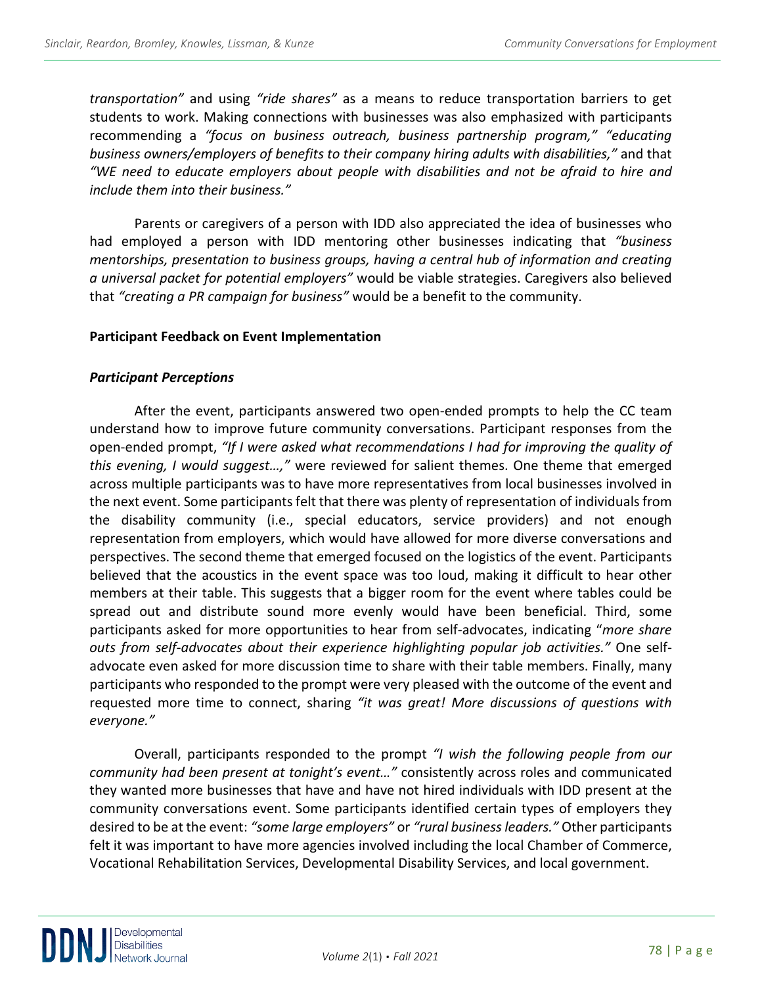*transportation"* and using *"ride shares"* as a means to reduce transportation barriers to get students to work. Making connections with businesses was also emphasized with participants recommending a *"focus on business outreach, business partnership program," "educating business owners/employers of benefits to their company hiring adults with disabilities,"* and that *"WE need to educate employers about people with disabilities and not be afraid to hire and include them into their business."* 

Parents or caregivers of a person with IDD also appreciated the idea of businesses who had employed a person with IDD mentoring other businesses indicating that *"business mentorships, presentation to business groups, having a central hub of information and creating a universal packet for potential employers"* would be viable strategies. Caregivers also believed that *"creating a PR campaign for business"* would be a benefit to the community.

#### **Participant Feedback on Event Implementation**

#### *Participant Perceptions*

After the event, participants answered two open-ended prompts to help the CC team understand how to improve future community conversations. Participant responses from the open-ended prompt, *"If I were asked what recommendations I had for improving the quality of this evening, I would suggest…,"* were reviewed for salient themes. One theme that emerged across multiple participants was to have more representatives from local businesses involved in the next event. Some participants felt that there was plenty of representation of individuals from the disability community (i.e., special educators, service providers) and not enough representation from employers, which would have allowed for more diverse conversations and perspectives. The second theme that emerged focused on the logistics of the event. Participants believed that the acoustics in the event space was too loud, making it difficult to hear other members at their table. This suggests that a bigger room for the event where tables could be spread out and distribute sound more evenly would have been beneficial. Third, some participants asked for more opportunities to hear from self-advocates, indicating "*more share outs from self-advocates about their experience highlighting popular job activities."* One selfadvocate even asked for more discussion time to share with their table members. Finally, many participants who responded to the prompt were very pleased with the outcome of the event and requested more time to connect, sharing *"it was great! More discussions of questions with everyone."*

Overall, participants responded to the prompt *"I wish the following people from our community had been present at tonight's event…"* consistently across roles and communicated they wanted more businesses that have and have not hired individuals with IDD present at the community conversations event. Some participants identified certain types of employers they desired to be at the event: *"some large employers"* or *"rural business leaders."* Other participants felt it was important to have more agencies involved including the local Chamber of Commerce, Vocational Rehabilitation Services, Developmental Disability Services, and local government.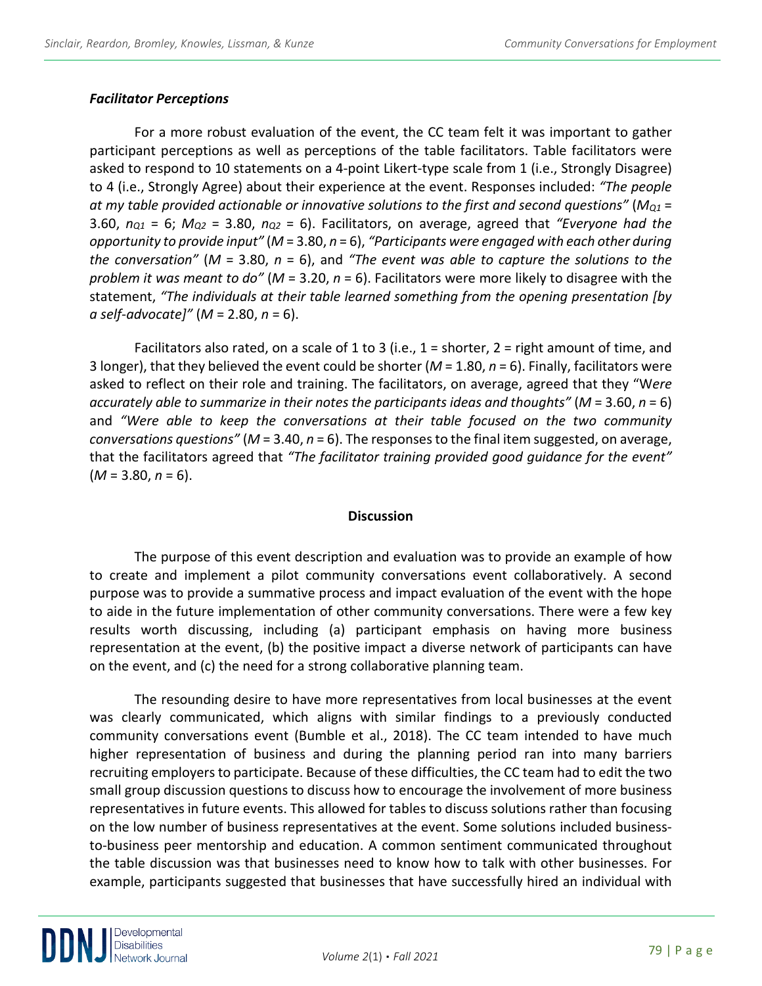## *Facilitator Perceptions*

For a more robust evaluation of the event, the CC team felt it was important to gather participant perceptions as well as perceptions of the table facilitators. Table facilitators were asked to respond to 10 statements on a 4-point Likert-type scale from 1 (i.e., Strongly Disagree) to 4 (i.e., Strongly Agree) about their experience at the event. Responses included: *"The people at my table provided actionable or innovative solutions to the first and second questions"* (*MQ1* = 3.60, *nQ1* = 6; *MQ2* = 3.80, *nQ2* = 6). Facilitators, on average, agreed that *"Everyone had the opportunity to provide input"* (*M* = 3.80, *n* = 6), *"Participants were engaged with each other during the conversation"* (*M* = 3.80, *n* = 6), and *"The event was able to capture the solutions to the problem it was meant to do"* (*M* = 3.20, *n* = 6). Facilitators were more likely to disagree with the statement, *"The individuals at their table learned something from the opening presentation [by a self-advocate]"* (*M* = 2.80, *n* = 6).

Facilitators also rated, on a scale of 1 to 3 (i.e., 1 = shorter, 2 = right amount of time, and 3 longer), that they believed the event could be shorter (*M* = 1.80, *n* = 6). Finally, facilitators were asked to reflect on their role and training. The facilitators, on average, agreed that they "W*ere accurately able to summarize in their notes the participants ideas and thoughts"* (*M* = 3.60, *n* = 6) and *"Were able to keep the conversations at their table focused on the two community conversations questions"* (*M* = 3.40, *n* = 6). The responses to the final item suggested, on average, that the facilitators agreed that *"The facilitator training provided good guidance for the event"* (*M* = 3.80, *n* = 6).

#### **Discussion**

The purpose of this event description and evaluation was to provide an example of how to create and implement a pilot community conversations event collaboratively. A second purpose was to provide a summative process and impact evaluation of the event with the hope to aide in the future implementation of other community conversations. There were a few key results worth discussing, including (a) participant emphasis on having more business representation at the event, (b) the positive impact a diverse network of participants can have on the event, and (c) the need for a strong collaborative planning team.

The resounding desire to have more representatives from local businesses at the event was clearly communicated, which aligns with similar findings to a previously conducted community conversations event (Bumble et al., 2018). The CC team intended to have much higher representation of business and during the planning period ran into many barriers recruiting employers to participate. Because of these difficulties, the CC team had to edit the two small group discussion questions to discuss how to encourage the involvement of more business representatives in future events. This allowed for tables to discuss solutions rather than focusing on the low number of business representatives at the event. Some solutions included businessto-business peer mentorship and education. A common sentiment communicated throughout the table discussion was that businesses need to know how to talk with other businesses. For example, participants suggested that businesses that have successfully hired an individual with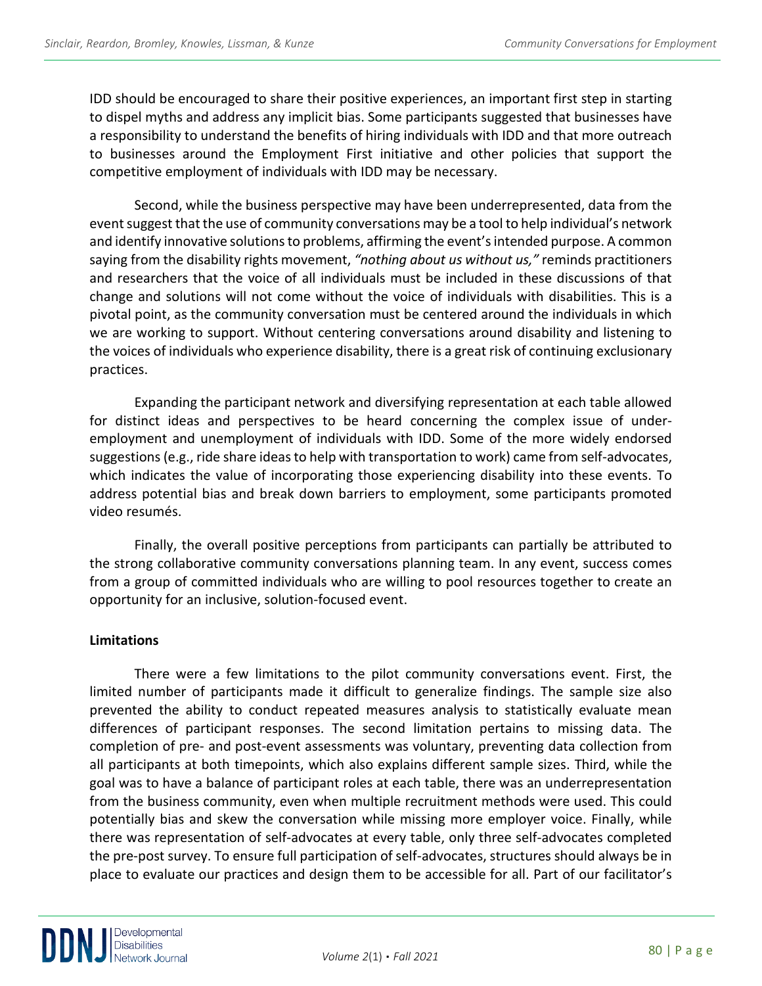IDD should be encouraged to share their positive experiences, an important first step in starting to dispel myths and address any implicit bias. Some participants suggested that businesses have a responsibility to understand the benefits of hiring individuals with IDD and that more outreach to businesses around the Employment First initiative and other policies that support the competitive employment of individuals with IDD may be necessary.

Second, while the business perspective may have been underrepresented, data from the event suggest that the use of community conversations may be a tool to help individual's network and identify innovative solutions to problems, affirming the event's intended purpose. A common saying from the disability rights movement, *"nothing about us without us,"* reminds practitioners and researchers that the voice of all individuals must be included in these discussions of that change and solutions will not come without the voice of individuals with disabilities. This is a pivotal point, as the community conversation must be centered around the individuals in which we are working to support. Without centering conversations around disability and listening to the voices of individuals who experience disability, there is a great risk of continuing exclusionary practices.

Expanding the participant network and diversifying representation at each table allowed for distinct ideas and perspectives to be heard concerning the complex issue of underemployment and unemployment of individuals with IDD. Some of the more widely endorsed suggestions (e.g., ride share ideas to help with transportation to work) came from self-advocates, which indicates the value of incorporating those experiencing disability into these events. To address potential bias and break down barriers to employment, some participants promoted video resumés.

Finally, the overall positive perceptions from participants can partially be attributed to the strong collaborative community conversations planning team. In any event, success comes from a group of committed individuals who are willing to pool resources together to create an opportunity for an inclusive, solution-focused event.

## **Limitations**

There were a few limitations to the pilot community conversations event. First, the limited number of participants made it difficult to generalize findings. The sample size also prevented the ability to conduct repeated measures analysis to statistically evaluate mean differences of participant responses. The second limitation pertains to missing data. The completion of pre- and post-event assessments was voluntary, preventing data collection from all participants at both timepoints, which also explains different sample sizes. Third, while the goal was to have a balance of participant roles at each table, there was an underrepresentation from the business community, even when multiple recruitment methods were used. This could potentially bias and skew the conversation while missing more employer voice. Finally, while there was representation of self-advocates at every table, only three self-advocates completed the pre-post survey. To ensure full participation of self-advocates, structures should always be in place to evaluate our practices and design them to be accessible for all. Part of our facilitator's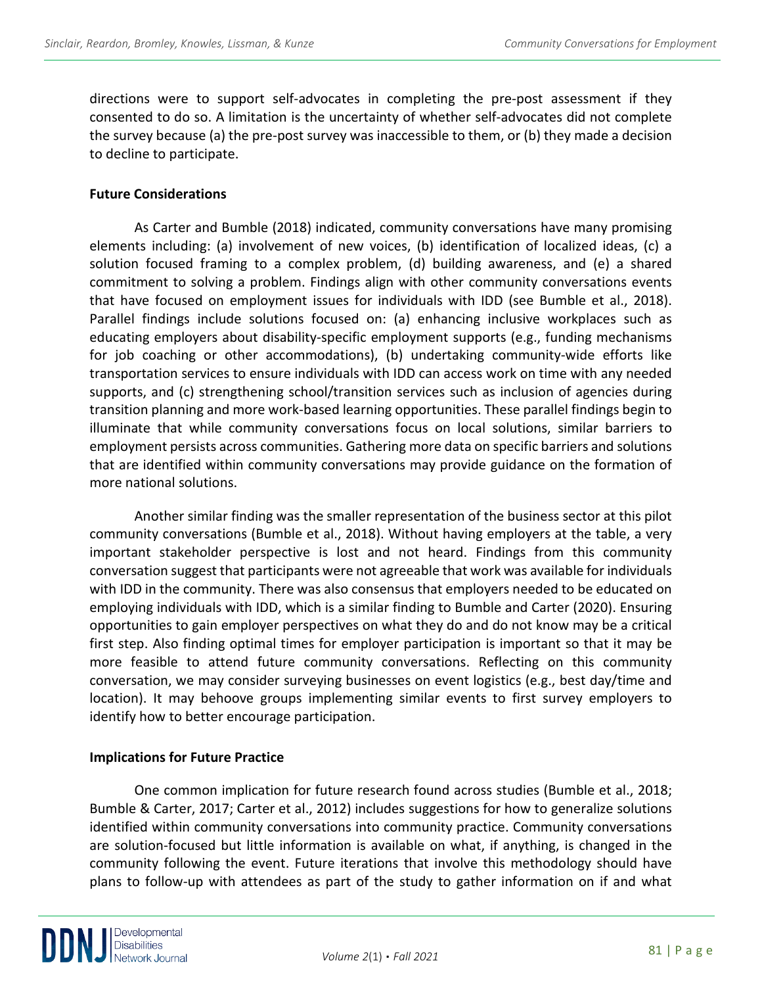directions were to support self-advocates in completing the pre-post assessment if they consented to do so. A limitation is the uncertainty of whether self-advocates did not complete the survey because (a) the pre-post survey was inaccessible to them, or (b) they made a decision to decline to participate.

#### **Future Considerations**

As Carter and Bumble (2018) indicated, community conversations have many promising elements including: (a) involvement of new voices, (b) identification of localized ideas, (c) a solution focused framing to a complex problem, (d) building awareness, and (e) a shared commitment to solving a problem. Findings align with other community conversations events that have focused on employment issues for individuals with IDD (see Bumble et al., 2018). Parallel findings include solutions focused on: (a) enhancing inclusive workplaces such as educating employers about disability-specific employment supports (e.g., funding mechanisms for job coaching or other accommodations), (b) undertaking community-wide efforts like transportation services to ensure individuals with IDD can access work on time with any needed supports, and (c) strengthening school/transition services such as inclusion of agencies during transition planning and more work-based learning opportunities. These parallel findings begin to illuminate that while community conversations focus on local solutions, similar barriers to employment persists across communities. Gathering more data on specific barriers and solutions that are identified within community conversations may provide guidance on the formation of more national solutions.

Another similar finding was the smaller representation of the business sector at this pilot community conversations (Bumble et al., 2018). Without having employers at the table, a very important stakeholder perspective is lost and not heard. Findings from this community conversation suggest that participants were not agreeable that work was available for individuals with IDD in the community. There was also consensus that employers needed to be educated on employing individuals with IDD, which is a similar finding to Bumble and Carter (2020). Ensuring opportunities to gain employer perspectives on what they do and do not know may be a critical first step. Also finding optimal times for employer participation is important so that it may be more feasible to attend future community conversations. Reflecting on this community conversation, we may consider surveying businesses on event logistics (e.g., best day/time and location). It may behoove groups implementing similar events to first survey employers to identify how to better encourage participation.

## **Implications for Future Practice**

One common implication for future research found across studies (Bumble et al., 2018; Bumble & Carter, 2017; Carter et al., 2012) includes suggestions for how to generalize solutions identified within community conversations into community practice. Community conversations are solution-focused but little information is available on what, if anything, is changed in the community following the event. Future iterations that involve this methodology should have plans to follow-up with attendees as part of the study to gather information on if and what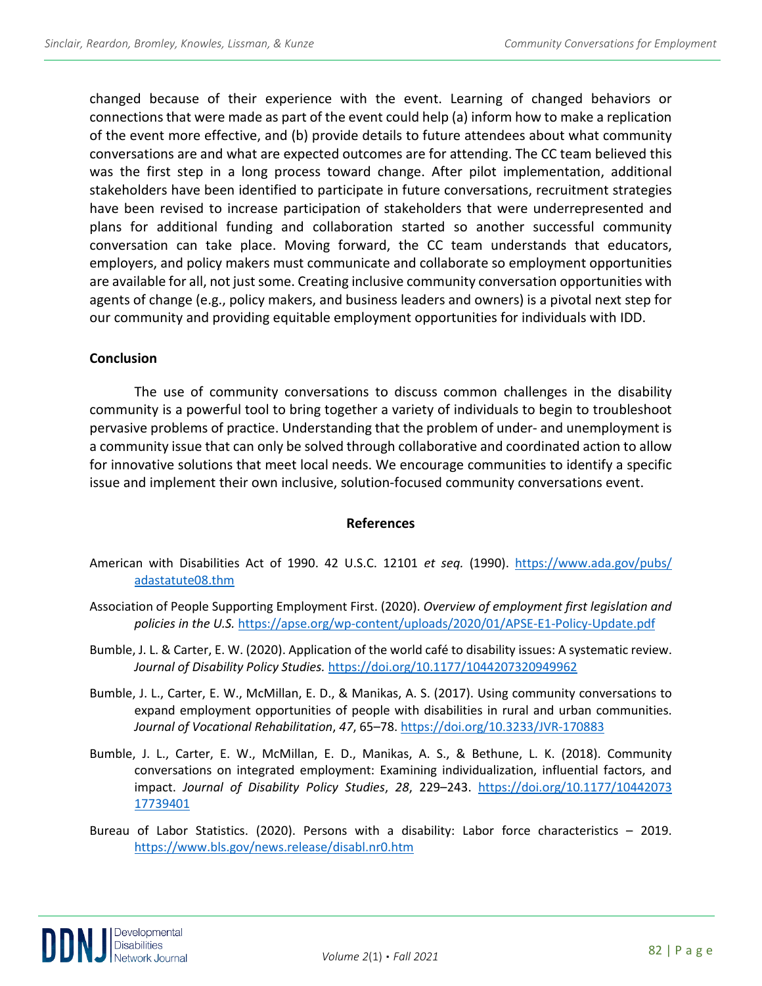changed because of their experience with the event. Learning of changed behaviors or connections that were made as part of the event could help (a) inform how to make a replication of the event more effective, and (b) provide details to future attendees about what community conversations are and what are expected outcomes are for attending. The CC team believed this was the first step in a long process toward change. After pilot implementation, additional stakeholders have been identified to participate in future conversations, recruitment strategies have been revised to increase participation of stakeholders that were underrepresented and plans for additional funding and collaboration started so another successful community conversation can take place. Moving forward, the CC team understands that educators, employers, and policy makers must communicate and collaborate so employment opportunities are available for all, not just some. Creating inclusive community conversation opportunities with agents of change (e.g., policy makers, and business leaders and owners) is a pivotal next step for our community and providing equitable employment opportunities for individuals with IDD.

#### **Conclusion**

The use of community conversations to discuss common challenges in the disability community is a powerful tool to bring together a variety of individuals to begin to troubleshoot pervasive problems of practice. Understanding that the problem of under- and unemployment is a community issue that can only be solved through collaborative and coordinated action to allow for innovative solutions that meet local needs. We encourage communities to identify a specific issue and implement their own inclusive, solution-focused community conversations event.

#### **References**

- American with Disabilities Act of 1990. 42 U.S.C. 12101 *et seq.* (1990). [https://www.ada.gov/pubs/](https://www.ada.gov/pubs/%20adastatute08.thm)  [adastatute08.thm](https://www.ada.gov/pubs/%20adastatute08.thm)
- Association of People Supporting Employment First. (2020). *Overview of employment first legislation and policies in the U.S.* <https://apse.org/wp-content/uploads/2020/01/APSE-E1-Policy-Update.pdf>
- Bumble, J. L. & Carter, E. W. (2020). Application of the world café to disability issues: A systematic review. *Journal of Disability Policy Studies.* <https://doi.org/10.1177/1044207320949962>
- Bumble, J. L., Carter, E. W., McMillan, E. D., & Manikas, A. S. (2017). Using community conversations to expand employment opportunities of people with disabilities in rural and urban communities. *Journal of Vocational Rehabilitation*, *47*, 65–78.<https://doi.org/10.3233/JVR-170883>
- Bumble, J. L., Carter, E. W., McMillan, E. D., Manikas, A. S., & Bethune, L. K. (2018). Community conversations on integrated employment: Examining individualization, influential factors, and impact. *Journal of Disability Policy Studies*, *28*, 229–243. [https://doi.org/10.1177/10442073](https://doi.org/10.1177/10442073%2017739401)  [17739401](https://doi.org/10.1177/10442073%2017739401)
- Bureau of Labor Statistics. (2020). Persons with a disability: Labor force characteristics 2019. <https://www.bls.gov/news.release/disabl.nr0.htm>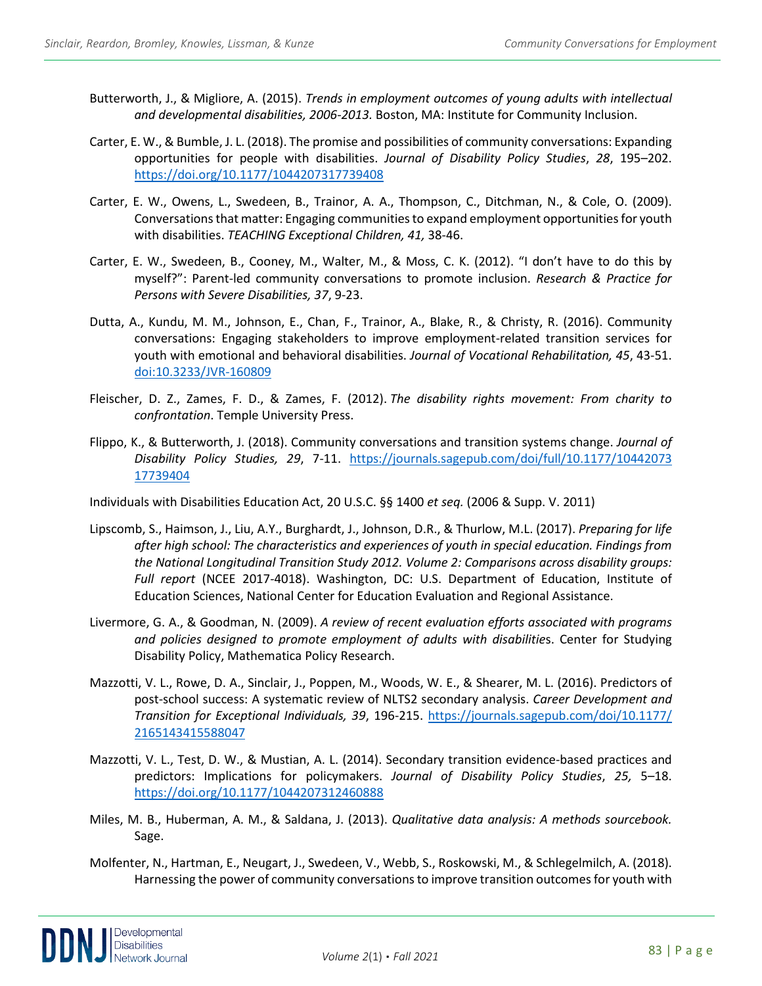- Butterworth, J., & Migliore, A. (2015). *Trends in employment outcomes of young adults with intellectual and developmental disabilities, 2006-2013.* Boston, MA: Institute for Community Inclusion.
- Carter, E. W., & Bumble, J. L. (2018). The promise and possibilities of community conversations: Expanding opportunities for people with disabilities. *Journal of Disability Policy Studies*, *28*, 195–202. <https://doi.org/10.1177/1044207317739408>
- Carter, E. W., Owens, L., Swedeen, B., Trainor, A. A., Thompson, C., Ditchman, N., & Cole, O. (2009). Conversations that matter: Engaging communities to expand employment opportunities for youth with disabilities. *TEACHING Exceptional Children, 41,* 38-46.
- Carter, E. W., Swedeen, B., Cooney, M., Walter, M., & Moss, C. K. (2012). "I don't have to do this by myself?": Parent-led community conversations to promote inclusion. *Research & Practice for Persons with Severe Disabilities, 37*, 9-23.
- Dutta, A., Kundu, M. M., Johnson, E., Chan, F., Trainor, A., Blake, R., & Christy, R. (2016). Community conversations: Engaging stakeholders to improve employment-related transition services for youth with emotional and behavioral disabilities. *Journal of Vocational Rehabilitation, 45*, 43-51. [doi:10.3233/JVR-160809](https://content.iospress.com/articles/journal-of-vocational-rehabilitation/jvr809)
- Fleischer, D. Z., Zames, F. D., & Zames, F. (2012). *The disability rights movement: From charity to confrontation*. Temple University Press.
- Flippo, K., & Butterworth, J. (2018). Community conversations and transition systems change. *Journal of Disability Policy Studies, 29*, 7-11. [https://journals.sagepub.com/doi/full/10.1177/10442073](https://journals.sagepub.com/doi/full/10.1177/10442073%2017739404)  [17739404](https://journals.sagepub.com/doi/full/10.1177/10442073%2017739404)

Individuals with Disabilities Education Act, 20 U.S.C. §§ 1400 *et seq.* (2006 & Supp. V. 2011)

- Lipscomb, S., Haimson, J., Liu, A.Y., Burghardt, J., Johnson, D.R., & Thurlow, M.L. (2017). *Preparing for life after high school: The characteristics and experiences of youth in special education. Findings from the National Longitudinal Transition Study 2012. Volume 2: Comparisons across disability groups: Full report* (NCEE 2017-4018). Washington, DC: U.S. Department of Education, Institute of Education Sciences, National Center for Education Evaluation and Regional Assistance.
- Livermore, G. A., & Goodman, N. (2009). *A review of recent evaluation efforts associated with programs and policies designed to promote employment of adults with disabilitie*s. Center for Studying Disability Policy, Mathematica Policy Research.
- Mazzotti, V. L., Rowe, D. A., Sinclair, J., Poppen, M., Woods, W. E., & Shearer, M. L. (2016). Predictors of post-school success: A systematic review of NLTS2 secondary analysis. *Career Development and Transition for Exceptional Individuals, 39*, 196-215. [https://journals.sagepub.com/doi/10.1177/](https://journals.sagepub.com/doi/10.1177/%202165143415588047)  [2165143415588047](https://journals.sagepub.com/doi/10.1177/%202165143415588047)
- Mazzotti, V. L., Test, D. W., & Mustian, A. L. (2014). Secondary transition evidence-based practices and predictors: Implications for policymakers. *Journal of Disability Policy Studies*, *25,* 5–18. <https://doi.org/10.1177/1044207312460888>
- Miles, M. B., Huberman, A. M., & Saldana, J. (2013). *Qualitative data analysis: A methods sourcebook.* Sage.
- Molfenter, N., Hartman, E., Neugart, J., Swedeen, V., Webb, S., Roskowski, M., & Schlegelmilch, A. (2018). Harnessing the power of community conversations to improve transition outcomes for youth with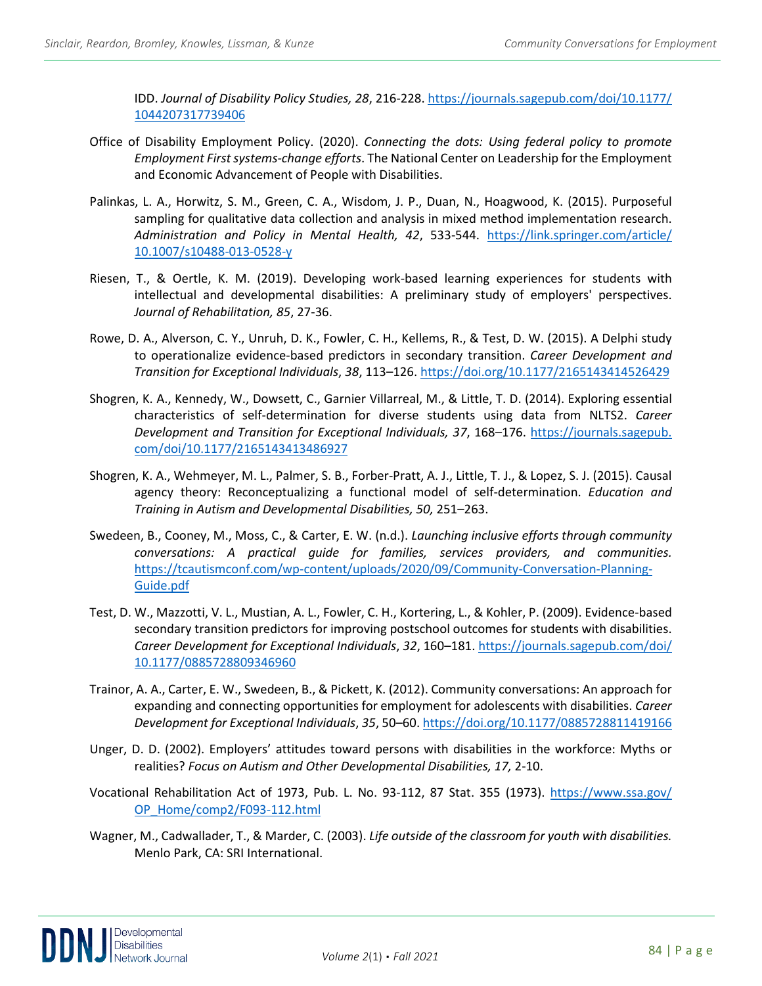IDD. *Journal of Disability Policy Studies, 28*, 216-228. [https://journals.sagepub.com/doi/10.1177/](https://journals.sagepub.com/doi/10.1177/%201044207317739406)  [1044207317739406](https://journals.sagepub.com/doi/10.1177/%201044207317739406)

- Office of Disability Employment Policy. (2020). *Connecting the dots: Using federal policy to promote Employment First systems-change efforts*. The National Center on Leadership for the Employment and Economic Advancement of People with Disabilities.
- Palinkas, L. A., Horwitz, S. M., Green, C. A., Wisdom, J. P., Duan, N., Hoagwood, K. (2015). Purposeful sampling for qualitative data collection and analysis in mixed method implementation research. *Administration and Policy in Mental Health, 42*, 533-544. [https://link.springer.com/article/](https://link.springer.com/article/%2010.1007/s10488-013-0528-y)  [10.1007/s10488-013-0528-y](https://link.springer.com/article/%2010.1007/s10488-013-0528-y)
- Riesen, T., & Oertle, K. M. (2019). Developing work-based learning experiences for students with intellectual and developmental disabilities: A preliminary study of employers' perspectives. *Journal of Rehabilitation, 85*, 27-36.
- Rowe, D. A., Alverson, C. Y., Unruh, D. K., Fowler, C. H., Kellems, R., & Test, D. W. (2015). A Delphi study to operationalize evidence-based predictors in secondary transition. *Career Development and Transition for Exceptional Individuals*, *38*, 113–126.<https://doi.org/10.1177/2165143414526429>
- Shogren, K. A., Kennedy, W., Dowsett, C., Garnier Villarreal, M., & Little, T. D. (2014). Exploring essential characteristics of self-determination for diverse students using data from NLTS2. *Career Development and Transition for Exceptional Individuals, 37*, 168–176. https://journals.sagepub. com/doi/10.1177/2165143413486927
- Shogren, K. A., Wehmeyer, M. L., Palmer, S. B., Forber-Pratt, A. J., Little, T. J., & Lopez, S. J. (2015). Causal agency theory: Reconceptualizing a functional model of self-determination. *Education and Training in Autism and Developmental Disabilities, 50,* 251–263.
- Swedeen, B., Cooney, M., Moss, C., & Carter, E. W. (n.d.). *Launching inclusive efforts through community conversations: A practical guide for families, services providers, and communities.*  [https://tcautismconf.com/wp-content/uploads/2020/09/Community-Conversation-Planning-](https://tcautismconf.com/wp-content/uploads/2020/09/Community-Conversation-Planning-Guide.pdf)[Guide.pdf](https://tcautismconf.com/wp-content/uploads/2020/09/Community-Conversation-Planning-Guide.pdf)
- Test, D. W., Mazzotti, V. L., Mustian, A. L., Fowler, C. H., Kortering, L., & Kohler, P. (2009). Evidence-based secondary transition predictors for improving postschool outcomes for students with disabilities. *Career Development for Exceptional Individuals*, *32*, 160–181[. https://journals.sagepub.com/doi/](https://journals.sagepub.com/doi/%2010.1177/0885728809346960)  [10.1177/0885728809346960](https://journals.sagepub.com/doi/%2010.1177/0885728809346960)
- Trainor, A. A., Carter, E. W., Swedeen, B., & Pickett, K. (2012). Community conversations: An approach for expanding and connecting opportunities for employment for adolescents with disabilities. *Career Development for Exceptional Individuals*, *35*, 50–60[. https://doi.org/10.1177/0885728811419166](https://doi.org/10.1177/0885728811419166)
- Unger, D. D. (2002). Employers' attitudes toward persons with disabilities in the workforce: Myths or realities? *Focus on Autism and Other Developmental Disabilities, 17,* 2-10.
- Vocational Rehabilitation Act of 1973, Pub. L. No. 93-112, 87 Stat. 355 (1973). [https://www.ssa.gov/](https://www.ssa.gov/%20OP_Home/comp2/F093-112.html)  [OP\\_Home/comp2/F093-112.html](https://www.ssa.gov/%20OP_Home/comp2/F093-112.html)
- Wagner, M., Cadwallader, T., & Marder, C. (2003). *Life outside of the classroom for youth with disabilities.*  Menlo Park, CA: SRI International.